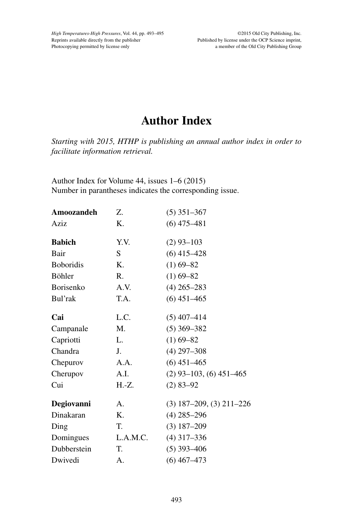## **Author Index**

*Starting with 2015, HTHP is publishing an annual author index in order to facilitate information retrieval.*

Author Index for Volume 44, issues 1–6 (2015) Number in parantheses indicates the corresponding issue.

| Amoozandeh       | Z.             | $(5)$ 351-367                |
|------------------|----------------|------------------------------|
| Aziz             | K.             | $(6)$ 475-481                |
| <b>Babich</b>    | Y.V.           | $(2)$ 93-103                 |
| Bair             | S              | $(6)$ 415-428                |
| <b>Boboridis</b> | K.             | $(1)$ 69-82                  |
| Böhler           | $\mathbf{R}$ . | $(1)$ 69-82                  |
| Borisenko        | A.V.           | $(4)$ 265-283                |
| Bul'rak          | T.A.           | $(6)$ 451-465                |
| Cai              | L.C.           | $(5)$ 407-414                |
| Campanale        | M.             | $(5)$ 369-382                |
| Capriotti        | L.             | $(1)$ 69-82                  |
| Chandra          | J.             | $(4)$ 297-308                |
| Chepurov         | A.A.           | $(6)$ 451-465                |
| Cherupov         | A.I.           | $(2)$ 93-103, (6) 451-465    |
| Cui              | H.-Z.          | $(2)$ 83-92                  |
| Degiovanni       | A.             | $(3)$ 187-209, $(3)$ 211-226 |
| Dinakaran        | Κ.             | $(4)$ 285-296                |
| Ding             | T.             | $(3) 187 - 209$              |
| Domingues        | L.A.M.C.       | $(4)$ 317-336                |
| Dubberstein      | T.             | $(5)$ 393-406                |
| Dwivedi          | A.             | $(6)$ 467-473                |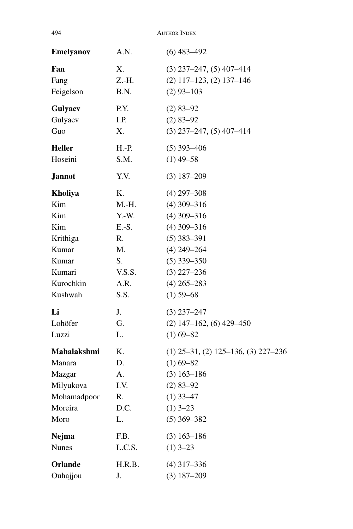| <b>Emelyanov</b> | A.N.    | $(6)$ 483-492                             |
|------------------|---------|-------------------------------------------|
| Fan              | Х.      | $(3)$ 237-247, $(5)$ 407-414              |
| Fang             | Z.-H.   | $(2)$ 117-123, $(2)$ 137-146              |
| Feigelson        | B.N.    | $(2)$ 93-103                              |
| Gulyaev          | P.Y.    | $(2)$ 83-92                               |
| Gulyaev          | I.P.    | $(2)$ 83-92                               |
| Guo              | Х.      | $(3)$ 237-247, $(5)$ 407-414              |
| <b>Heller</b>    | H.-P.   | $(5)$ 393-406                             |
| Hoseini          | S.M.    | $(1)$ 49-58                               |
| <b>Jannot</b>    | Y.V.    | $(3)$ 187-209                             |
| Kholiya          | Κ.      | $(4)$ 297-308                             |
| Kim              | M.-H.   | $(4)$ 309-316                             |
| Kim              | $Y.-W.$ | $(4)$ 309-316                             |
| Kim              | E.-S.   | $(4)$ 309-316                             |
| Krithiga         | R.      | $(5)$ 383-391                             |
| Kumar            | M.      | $(4)$ 249-264                             |
| Kumar            | S.      | $(5)$ 339-350                             |
| Kumari           | V.S.S.  | $(3)$ 227-236                             |
| Kurochkin        | A.R.    | $(4)$ 265-283                             |
| Kushwah          | S.S.    | $(1)$ 59-68                               |
| Li               | J.      | $(3)$ 237-247                             |
| Lohöfer          | G.      | $(2)$ 147-162, $(6)$ 429-450              |
| Luzzi            | L.      | $(1)$ 69-82                               |
| Mahalakshmi      | K.      | $(1)$ 25–31, $(2)$ 125–136, $(3)$ 227–236 |
| Manara           | D.      | $(1)$ 69-82                               |
| Mazgar           | A.      | $(3)$ 163-186                             |
| Milyukova        | I.V.    | $(2)$ 83-92                               |
| Mohamadpoor      | R.      | $(1)$ 33–47                               |
| Moreira          | D.C.    | $(1)$ 3-23                                |
| Moro             | L.      | $(5)$ 369-382                             |
| Nejma            | F.B.    | $(3)$ 163-186                             |
| <b>Nunes</b>     | L.C.S.  | $(1)$ 3-23                                |
| Orlande          | H.R.B.  | $(4)$ 317-336                             |
| Ouhajjou         | J.      | $(3) 187 - 209$                           |